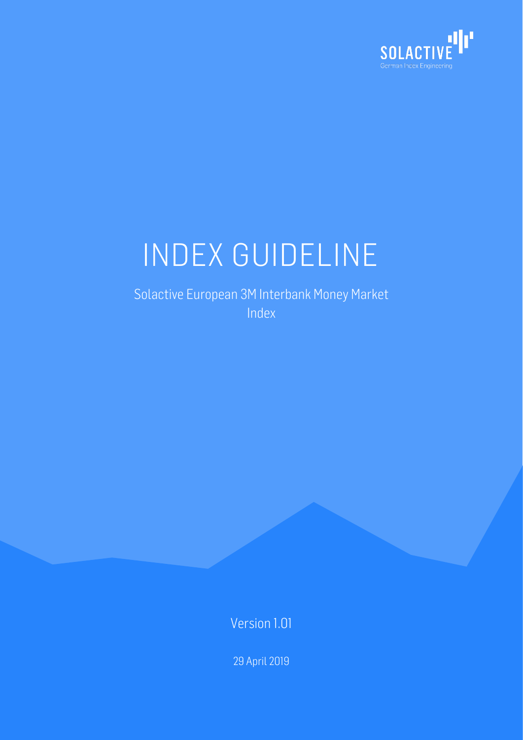

# INDEX GUIDELINE

Solactive European 3M Interbank Money Market Index

Version 1.01

29 April 2019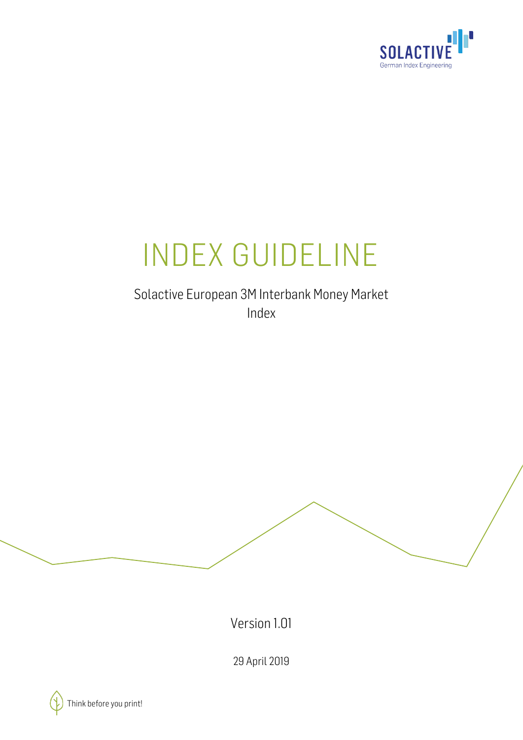

## INDEX GUIDELINE

Solactive European 3M Interbank Money Market Index

Version 1.01

29 April 2019

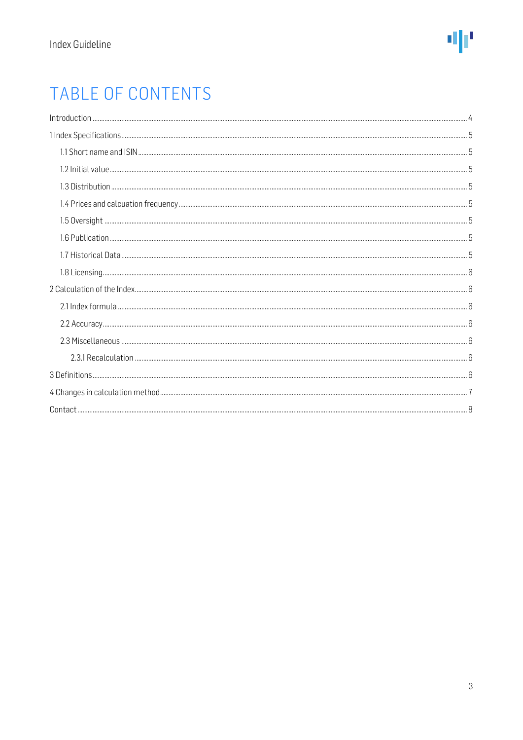## TABLE OF CONTENTS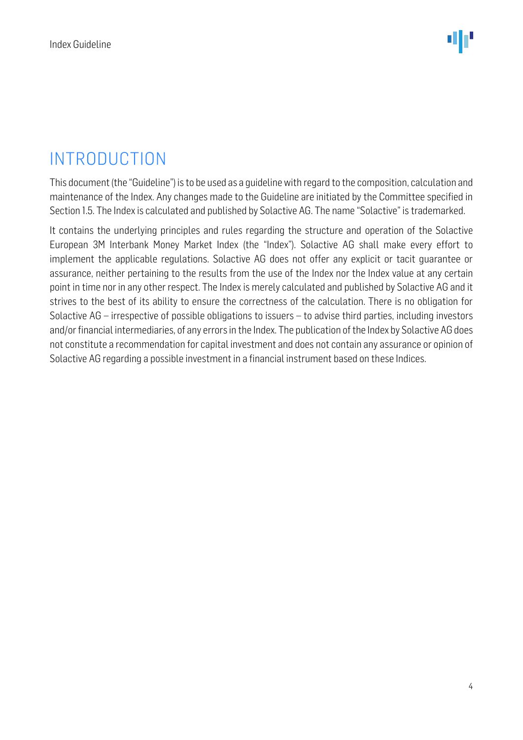## <span id="page-3-0"></span>INTRODUCTION

This document (the "Guideline") is to be used as a guideline with regard to the composition, calculation and maintenance of the Index. Any changes made to the Guideline are initiated by the Committee specified in Section 1.5. The Index is calculated and published by Solactive AG. The name "Solactive" is trademarked.

It contains the underlying principles and rules regarding the structure and operation of the Solactive European 3M Interbank Money Market Index (the "Index"). Solactive AG shall make every effort to implement the applicable regulations. Solactive AG does not offer any explicit or tacit guarantee or assurance, neither pertaining to the results from the use of the Index nor the Index value at any certain point in time nor in any other respect. The Indexis merely calculated and published by Solactive AG and it strives to the best of its ability to ensure the correctness of the calculation. There is no obligation for Solactive AG – irrespective of possible obligations to issuers – to advise third parties, including investors and/or financial intermediaries, of any errors in the Index. The publication of the Index by Solactive AG does not constitute a recommendation for capital investment and does not contain any assurance or opinion of Solactive AG regarding a possible investment in a financial instrument based on these Indices.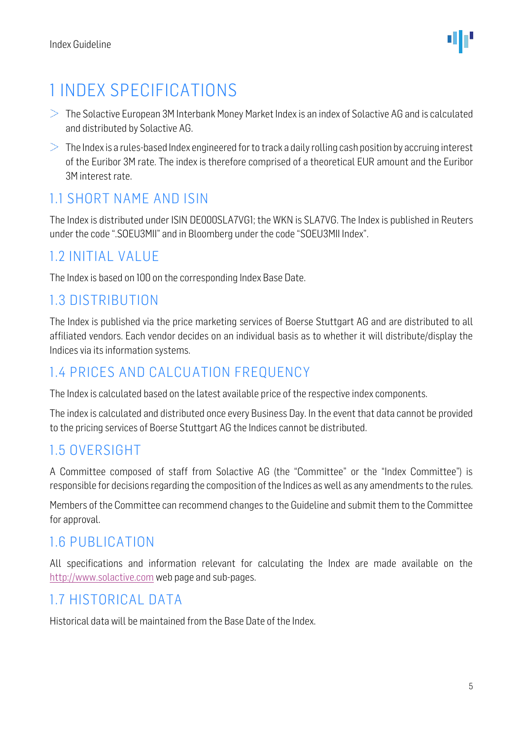

## <span id="page-4-0"></span>1 INDEX SPECIFICATIONS

- $>$  The Solactive European 3M Interbank Money Market Index is an index of Solactive AG and is calculated and distributed by Solactive AG.
- $>$  The Index is a rules-based Index engineered for to track a daily rolling cash position by accruing interest of the Euribor 3M rate. The index is therefore comprised of a theoretical EUR amount and the Euribor 3M interest rate.

#### <span id="page-4-1"></span>1.1 SHORT NAME AND ISIN

The Index is distributed under ISIN DE000SLA7VG1; the WKN is SLA7VG. The Index is published in Reuters under the code ".SOEU3MII" and in Bloomberg under the code "SOEU3MII Index".

#### <span id="page-4-2"></span>1.2 INITIAL VALUE

The Index is based on 100 on the corresponding Index Base Date.

#### <span id="page-4-3"></span>1.3 DISTRIBUTION

The Index is published via the price marketing services of Boerse Stuttgart AG and are distributed to all affiliated vendors. Each vendor decides on an individual basis as to whether it will distribute/display the Indices via its information systems.

#### <span id="page-4-4"></span>1.4 PRICES AND CALCUATION FREQUENCY

The Index is calculated based on the latest available price of the respective index components.

The index is calculated and distributed once every Business Day. In the event that data cannot be provided to the pricing services of Boerse Stuttgart AG the Indices cannot be distributed.

#### <span id="page-4-5"></span>1.5 OVERSIGHT

A Committee composed of staff from Solactive AG (the "Committee" or the "Index Committee") is responsible for decisions regarding the composition of the Indices as well as any amendments to the rules.

Members of the Committee can recommend changes to the Guideline and submit them to the Committee for approval.

#### <span id="page-4-6"></span>1.6 PUBLICATION

All specifications and information relevant for calculating the Index are made available on the [http://www.solactive.com](http://www.solactive.com/) web page and sub-pages.

#### <span id="page-4-7"></span>1.7 HISTORICAL DATA

Historical data will be maintained from the Base Date of the Index.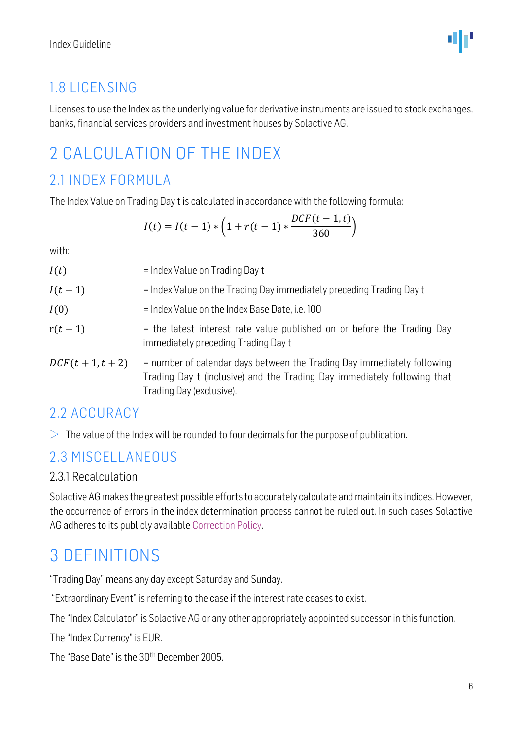#### <span id="page-5-0"></span>1.8 LICENSING

Licenses to use the Index as the underlying value for derivative instruments are issued to stock exchanges, banks, financial services providers and investment houses by Solactive AG.

## <span id="page-5-1"></span>2 CALCULATION OF THE INDEX

#### <span id="page-5-2"></span>2.1 INDEX FORMULA

The Index Value on Trading Day t is calculated in accordance with the following formula:

$$
I(t) = I(t-1) * \left(1 + r(t-1) * \frac{DCF(t-1, t)}{360}\right)
$$

with:

| I(t)                | = Index Value on Trading Day t                                                                                                                                                  |
|---------------------|---------------------------------------------------------------------------------------------------------------------------------------------------------------------------------|
| $I(t-1)$            | = Index Value on the Trading Day immediately preceding Trading Day t                                                                                                            |
| I(0)                | = Index Value on the Index Base Date, i.e. 100                                                                                                                                  |
| $r(t-1)$            | = the latest interest rate value published on or before the Trading Day<br>immediately preceding Trading Day t                                                                  |
| $DCF(t + 1, t + 2)$ | = number of calendar days between the Trading Day immediately following<br>Trading Day t (inclusive) and the Trading Day immediately following that<br>Trading Day (exclusive). |

#### <span id="page-5-3"></span>2.2 ACCURACY

 $>$  The value of the Index will be rounded to four decimals for the purpose of publication.

#### <span id="page-5-4"></span>2.3 MISCELLANEOUS

#### <span id="page-5-5"></span>2.3.1 Recalculation

Solactive AG makes the greatest possible efforts to accurately calculate and maintain its indices. However, the occurrence of errors in the index determination process cannot be ruled out. In such cases Solactive AG adheres to its publicly available [Correction Policy.](http://www.solactive.com/news/documents/)

### <span id="page-5-6"></span>3 DEFINITIONS

"Trading Day" means any day except Saturday and Sunday.

"Extraordinary Event" is referring to the case if the interest rate ceases to exist.

The "Index Calculator" is Solactive AG or any other appropriately appointed successor in this function.

The "Index Currency" is EUR.

The "Base Date" is the 30<sup>th</sup> December 2005.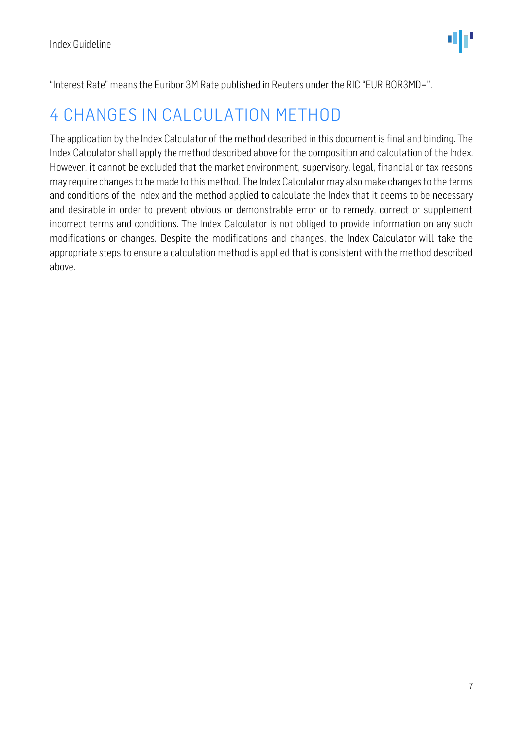"Interest Rate" means the Euribor 3M Rate published in Reuters under the RIC "EURIBOR3MD=".

### <span id="page-6-0"></span>4 CHANGES IN CALCULATION METHOD

The application by the Index Calculator of the method described in this document is final and binding. The Index Calculator shall apply the method described above for the composition and calculation of the Index. However, it cannot be excluded that the market environment, supervisory, legal, financial or tax reasons may require changes to be made to this method. The Index Calculator may also make changes to the terms and conditions of the Index and the method applied to calculate the Index that it deems to be necessary and desirable in order to prevent obvious or demonstrable error or to remedy, correct or supplement incorrect terms and conditions. The Index Calculator is not obliged to provide information on any such modifications or changes. Despite the modifications and changes, the Index Calculator will take the appropriate steps to ensure a calculation method is applied that is consistent with the method described above.